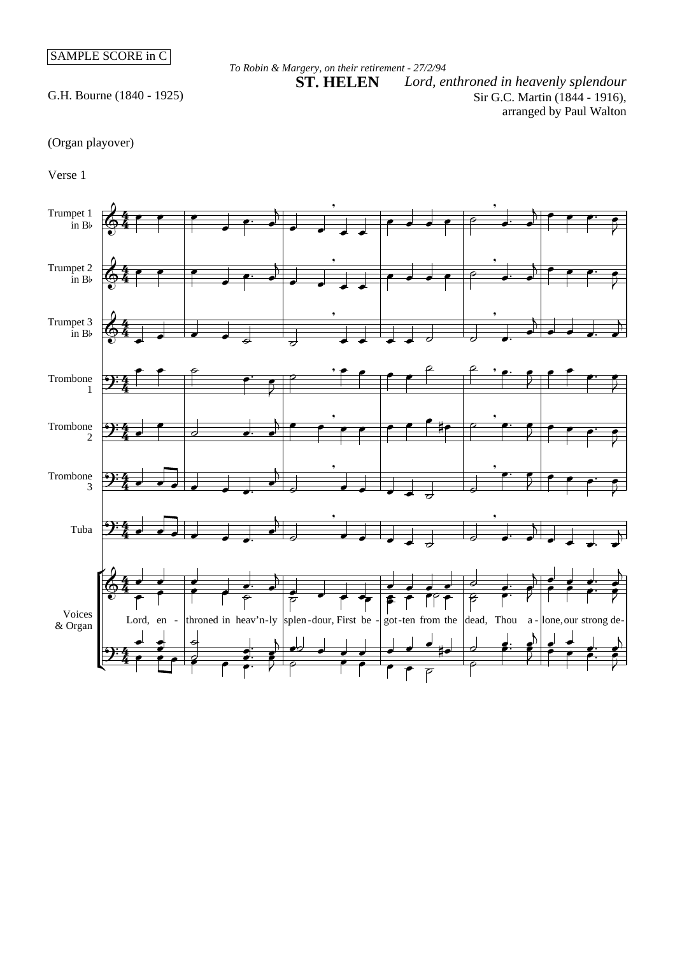## SAMPLE SCORE in C

## *To Robin & Margery, on their retirement - 27/2/94*

G.H. Bourne (1840 - 1925)

Sir G.C. Martin (1844 - 1916), arranged by Paul Walton Lord, enthroned in heavenly splendour

(Organ playover)

Verse 1

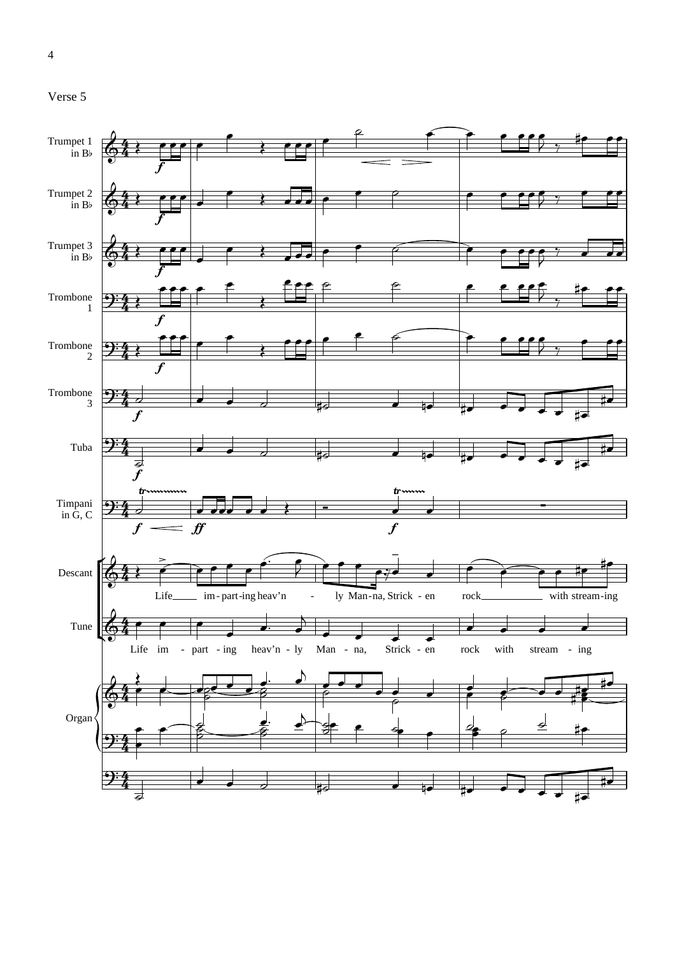```
Verse 5
```